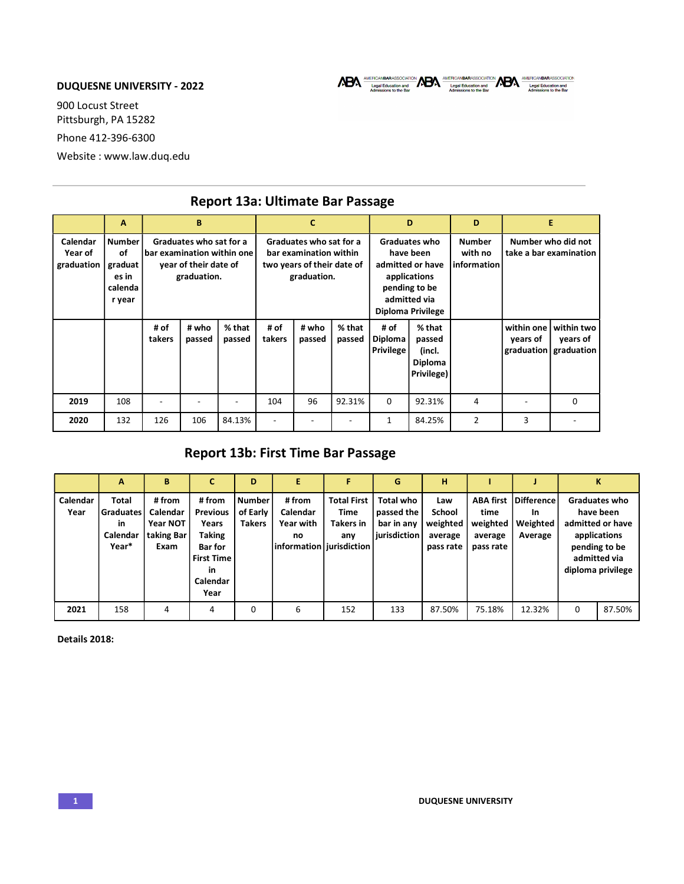## DUQUESNE UNIVERSITY - 2022

900 Locust Street Pittsburgh, PA 15282 Phone 412-396-6300 Website : www.law.duq.edu

|                                   | А                                                            | B                                                                                             |                 | C                                                                                              |                |                 | D                                                                                                                           |                                            | D                                                   |                                              | E                      |                                                   |  |
|-----------------------------------|--------------------------------------------------------------|-----------------------------------------------------------------------------------------------|-----------------|------------------------------------------------------------------------------------------------|----------------|-----------------|-----------------------------------------------------------------------------------------------------------------------------|--------------------------------------------|-----------------------------------------------------|----------------------------------------------|------------------------|---------------------------------------------------|--|
| Calendar<br>Year of<br>graduation | <b>Number</b><br>of<br>graduat<br>es in<br>calenda<br>r year | Graduates who sat for a<br>bar examination within one<br>year of their date of<br>graduation. |                 | Graduates who sat for a<br>bar examination within<br>two years of their date of<br>graduation. |                |                 | Graduates who<br>have been<br>admitted or have<br>applications<br>pending to be<br>admitted via<br><b>Diploma Privilege</b> |                                            | <b>Number</b><br>with no<br>information             | Number who did not<br>take a bar examination |                        |                                                   |  |
|                                   |                                                              | # of<br>takers                                                                                | # who<br>passed | % that<br>passed                                                                               | # of<br>takers | # who<br>passed | % that<br>passed                                                                                                            | # of<br><b>Diploma</b><br><b>Privilege</b> | % that<br>passed<br>(incl.<br>Diploma<br>Privilege) |                                              | within one<br>years of | within two<br>years of<br>graduation   graduation |  |
| 2019                              | 108                                                          |                                                                                               |                 |                                                                                                | 104            | 96              | 92.31%                                                                                                                      | 0                                          | 92.31%                                              | 4                                            |                        | $\Omega$                                          |  |
| 2020                              | 132                                                          | 126                                                                                           | 106             | 84.13%                                                                                         |                |                 |                                                                                                                             | 1                                          | 84.25%                                              | 2                                            | 3                      |                                                   |  |

## Report 13a: Ultimate Bar Passage

## Report 13b: First Time Bar Passage

|                  | A                                                             | B                                                    |                                                                                                                      | D                                          |                                                                            | F.                                                    | G                                                            | н                                                 |                                                              |                                                |   | Κ                                                                                                                           |
|------------------|---------------------------------------------------------------|------------------------------------------------------|----------------------------------------------------------------------------------------------------------------------|--------------------------------------------|----------------------------------------------------------------------------|-------------------------------------------------------|--------------------------------------------------------------|---------------------------------------------------|--------------------------------------------------------------|------------------------------------------------|---|-----------------------------------------------------------------------------------------------------------------------------|
| Calendar<br>Year | <b>Total</b><br>Graduates I<br><b>in</b><br>Calendar<br>Year* | # from<br>Calendar<br>Year NOT<br>taking Bar<br>Exam | # from<br><b>Previous</b><br>Years<br><b>Taking</b><br><b>Bar</b> for<br><b>First Time</b><br>in<br>Calendar<br>Year | <b>Number</b><br>of Early<br><b>Takers</b> | # from<br>Calendar<br><b>Year with</b><br>no<br>information   jurisdiction | <b>Total First</b><br>Time<br><b>Takers in</b><br>any | <b>Total who</b><br>passed the<br>bar in any<br>jurisdiction | Law<br>School<br>weighted<br>average<br>pass rate | <b>ABA first</b><br>time<br>weighted<br>average<br>pass rate | Difference<br><b>In</b><br>Weighted<br>Average |   | <b>Graduates who</b><br>have been<br>admitted or have<br>applications<br>pending to be<br>admitted via<br>diploma privilege |
| 2021             | 158                                                           | 4                                                    | 4                                                                                                                    | 0                                          | 6                                                                          | 152                                                   | 133                                                          | 87.50%                                            | 75.18%                                                       | 12.32%                                         | 0 | 87.50%                                                                                                                      |

Details 2018: